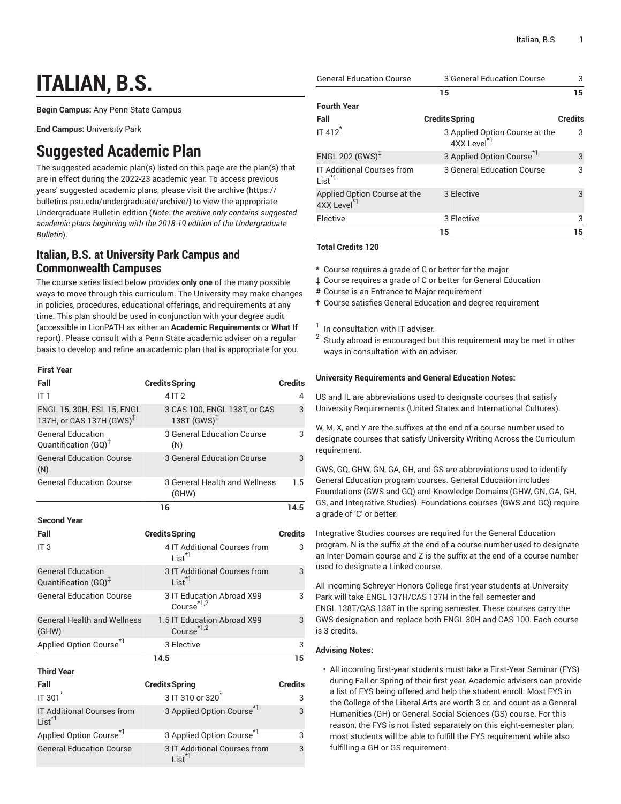# **ITALIAN, B.S.**

**Begin Campus:** Any Penn State Campus

**End Campus:** University Park

## **Suggested Academic Plan**

The suggested academic plan(s) listed on this page are the plan(s) that are in effect during the 2022-23 academic year. To access previous years' suggested academic plans, please visit the [archive](https://bulletins.psu.edu/undergraduate/archive/) ([https://](https://bulletins.psu.edu/undergraduate/archive/) [bulletins.psu.edu/undergraduate/archive/](https://bulletins.psu.edu/undergraduate/archive/)) to view the appropriate Undergraduate Bulletin edition (*Note: the archive only contains suggested academic plans beginning with the 2018-19 edition of the Undergraduate Bulletin*).

### **Italian, B.S. at University Park Campus and Commonwealth Campuses**

The course series listed below provides **only one** of the many possible ways to move through this curriculum. The University may make changes in policies, procedures, educational offerings, and requirements at any time. This plan should be used in conjunction with your degree audit (accessible in LionPATH as either an **Academic Requirements** or **What If** report). Please consult with a Penn State academic adviser on a regular basis to develop and refine an academic plan that is appropriate for you.

#### **First Year**

| Fall                                                               | <b>Credits Spring</b>                                   | <b>Credits</b> |
|--------------------------------------------------------------------|---------------------------------------------------------|----------------|
| IT <sub>1</sub>                                                    | 4 IT 2                                                  | 4              |
| ENGL 15, 30H, ESL 15, ENGL<br>137H, or CAS 137H (GWS) <sup>‡</sup> | 3 CAS 100, ENGL 138T, or CAS<br>138T $(GWS)^{\ddagger}$ | 3              |
| <b>General Education</b><br>Quantification (GQ) <sup>‡</sup>       | 3 General Education Course<br>(N)                       | 3              |
| <b>General Education Course</b><br>(N)                             | <b>3 General Education Course</b>                       | 3              |
| <b>General Education Course</b>                                    | 3 General Health and Wellness<br>(GHW)                  | 1.5            |
|                                                                    | 16                                                      | 14.5           |
| <b>Second Year</b>                                                 |                                                         |                |
| Fall                                                               | <b>Credits Spring</b>                                   | <b>Credits</b> |
| IT <sub>3</sub>                                                    | 4 IT Additional Courses from<br>$List^{\star}$          | 3              |
| <b>General Education</b><br>Quantification (GQ) <sup>‡</sup>       | 3 IT Additional Courses from<br>List <sup>*1</sup>      | 3              |
| <b>General Education Course</b>                                    | 3 IT Education Abroad X99<br>Course $*1,2$              | 3              |
| <b>General Health and Wellness</b><br>(GHW)                        | 1.5 IT Education Abroad X99<br>Course <sup>*1,2</sup>   | 3              |
| Applied Option Course <sup>*1</sup>                                | 3 Elective                                              | 3              |
|                                                                    | 14.5                                                    | 15             |
| <b>Third Year</b>                                                  |                                                         |                |
| Fall                                                               | <b>Credits Spring</b>                                   | <b>Credits</b> |
| IT 301 <sup>*</sup>                                                | $3$ IT 310 or 320 $^{\degree}$                          | 3              |
| IT Additional Courses from<br>$List^{\star 1}$                     | 3 Applied Option Course <sup>*1</sup>                   | 3              |
| Applied Option Course <sup>*1</sup>                                | 3 Applied Option Course <sup>*1</sup>                   | 3              |
| <b>General Education Course</b>                                    | 3 IT Additional Courses from                            | 3              |

List<sup>\*</sup>

| <b>General Education Course</b>                         | 3 General Education Course                                | 3              |
|---------------------------------------------------------|-----------------------------------------------------------|----------------|
|                                                         | 15                                                        | 15             |
| <b>Fourth Year</b>                                      |                                                           |                |
| Fall                                                    | <b>Credits Spring</b>                                     | <b>Credits</b> |
| IT 412 <sup>*</sup>                                     | 3 Applied Option Course at the<br>4XX Level <sup>*1</sup> | 3              |
| ENGL 202 $(GWS)^{\ddagger}$                             | 3 Applied Option Course <sup>*1</sup>                     | 3              |
| <b>IT Additional Courses from</b><br>$list^*$           | 3 General Education Course                                | 3              |
| Applied Option Course at the<br>4XX Level <sup>*1</sup> | 3 Elective                                                | 3              |
| Elective                                                | 3 Elective                                                | 3              |
|                                                         | 15                                                        | 15             |

**Total Credits 120**

\* Course requires a grade of C or better for the major

‡ Course requires a grade of C or better for General Education

# Course is an Entrance to Major requirement

† Course satisfies General Education and degree requirement

1 In consultation with IT adviser.

2 Study abroad is encouraged but this requirement may be met in other ways in consultation with an adviser.

#### **University Requirements and General Education Notes:**

US and IL are abbreviations used to designate courses that satisfy University Requirements (United States and International Cultures).

W, M, X, and Y are the suffixes at the end of a course number used to designate courses that satisfy University Writing Across the Curriculum requirement.

GWS, GQ, GHW, GN, GA, GH, and GS are abbreviations used to identify General Education program courses. General Education includes Foundations (GWS and GQ) and Knowledge Domains (GHW, GN, GA, GH, GS, and Integrative Studies). Foundations courses (GWS and GQ) require a grade of 'C' or better.

Integrative Studies courses are required for the General Education program. N is the suffix at the end of a course number used to designate an Inter-Domain course and Z is the suffix at the end of a course number used to designate a Linked course.

All incoming Schreyer Honors College first-year students at University Park will take ENGL 137H/CAS 137H in the fall semester and ENGL 138T/CAS 138T in the spring semester. These courses carry the GWS designation and replace both ENGL 30H and CAS 100. Each course is 3 credits.

#### **Advising Notes:**

• All incoming first-year students must take a First-Year Seminar (FYS) during Fall or Spring of their first year. Academic advisers can provide a list of FYS being offered and help the student enroll. Most FYS in the College of the Liberal Arts are worth 3 cr. and count as a General Humanities (GH) or General Social Sciences (GS) course. For this reason, the FYS is not listed separately on this eight-semester plan; most students will be able to fulfill the FYS requirement while also fulfilling a GH or GS requirement.